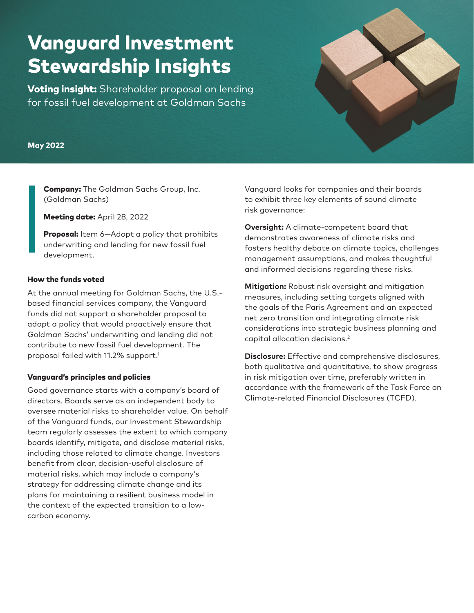# Vanguard Investment Stewardship Insights

**Voting insight:** Shareholder proposal on lending for fossil fuel development at Goldman Sachs

### May 2022

Company: The Goldman Sachs Group, Inc. (Goldman Sachs)

Meeting date: April 28, 2022

Proposal: Item 6-Adopt a policy that prohibits underwriting and lending for new fossil fuel development.

#### How the funds voted

At the annual meeting for Goldman Sachs, the U.S. based financial services company, the Vanguard funds did not support a shareholder proposal to adopt a policy that would proactively ensure that Goldman Sachs' underwriting and lending did not contribute to new fossil fuel development. The proposal failed with 11.2% support.<sup>1</sup>

# Vanguard's principles and policies

Good governance starts with a company's board of directors. Boards serve as an independent body to oversee material risks to shareholder value. On behalf of the Vanguard funds, our Investment Stewardship team regularly assesses the extent to which company boards identify, mitigate, and disclose material risks, including those related to climate change. Investors benefit from clear, decision-useful disclosure of material risks, which may include a company's strategy for addressing climate change and its plans for maintaining a resilient business model in the context of the expected transition to a lowcarbon economy.

Vanguard looks for companies and their boards to exhibit three key elements of sound climate risk governance:

**Oversight:** A climate-competent board that demonstrates awareness of climate risks and fosters healthy debate on climate topics, challenges management assumptions, and makes thoughtful and informed decisions regarding these risks.

**Mitigation:** Robust risk oversight and mitigation measures, including setting targets aligned with the goals of the Paris Agreement and an expected net zero transition and integrating climate risk considerations into strategic business planning and capital allocation decisions.2

**Disclosure:** Effective and comprehensive disclosures, both qualitative and quantitative, to show progress in risk mitigation over time, preferably written in accordance with the framework of the Task Force on Climate-related Financial Disclosures (TCFD).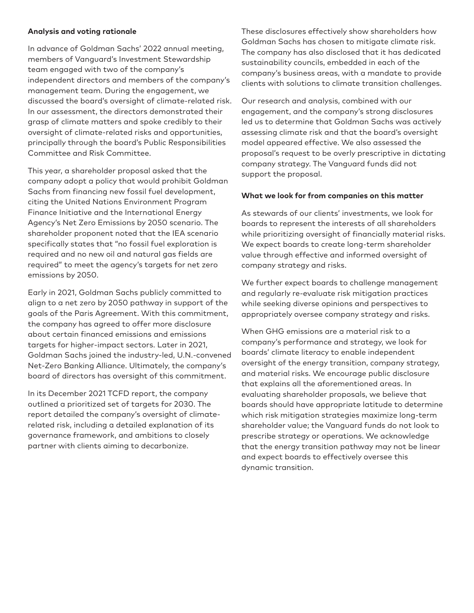# **Analysis and voting rationale**

In advance of Goldman Sachs' 2022 annual meeting, members of Vanguard's Investment Stewardship team engaged with two of the company's independent directors and members of the company's management team. During the engagement, we discussed the board's oversight of climate-related risk. In our assessment, the directors demonstrated their grasp of climate matters and spoke credibly to their oversight of climate-related risks and opportunities, principally through the board's Public Responsibilities Committee and Risk Committee.

This year, a shareholder proposal asked that the company adopt a policy that would prohibit Goldman Sachs from financing new fossil fuel development, citing the United Nations Environment Program Finance Initiative and the International Energy Agency's Net Zero Emissions by 2050 scenario. The shareholder proponent noted that the IEA scenario specifically states that "no fossil fuel exploration is required and no new oil and natural gas fields are required" to meet the agency's targets for net zero emissions by 2050.

Early in 2021, Goldman Sachs publicly committed to align to a net zero by 2050 pathway in support of the goals of the Paris Agreement. With this commitment, the company has agreed to offer more disclosure about certain financed emissions and emissions targets for higher-impact sectors. Later in 2021, Goldman Sachs joined the industry-led, U.N.-convened Net-Zero Banking Alliance. Ultimately, the company's board of directors has oversight of this commitment.

In its December 2021 TCFD report, the company outlined a prioritized set of targets for 2030. The report detailed the company's oversight of climaterelated risk, including a detailed explanation of its governance framework, and ambitions to closely partner with clients aiming to decarbonize.

These disclosures effectively show shareholders how Goldman Sachs has chosen to mitigate climate risk. The company has also disclosed that it has dedicated sustainability councils, embedded in each of the company's business areas, with a mandate to provide clients with solutions to climate transition challenges.

Our research and analysis, combined with our engagement, and the company's strong disclosures led us to determine that Goldman Sachs was actively assessing climate risk and that the board's oversight model appeared effective. We also assessed the proposal's request to be overly prescriptive in dictating company strategy. The Vanguard funds did not support the proposal.

# **What we look for from companies on this matter**

As stewards of our clients' investments, we look for boards to represent the interests of all shareholders while prioritizing oversight of financially material risks. We expect boards to create long-term shareholder value through effective and informed oversight of company strategy and risks.

We further expect boards to challenge management and regularly re-evaluate risk mitigation practices while seeking diverse opinions and perspectives to appropriately oversee company strategy and risks.

When GHG emissions are a material risk to a company's performance and strategy, we look for boards' climate literacy to enable independent oversight of the energy transition, company strategy, and material risks. We encourage public disclosure that explains all the aforementioned areas. In evaluating shareholder proposals, we believe that boards should have appropriate latitude to determine which risk mitigation strategies maximize long-term shareholder value; the Vanguard funds do not look to prescribe strategy or operations. We acknowledge that the energy transition pathway may not be linear and expect boards to effectively oversee this dynamic transition.